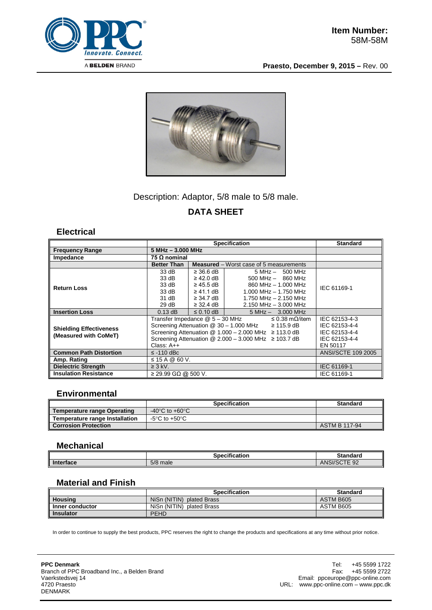

**Praesto, December 9, 2015 –** Rev. 00



# Description: Adaptor, 5/8 male to 5/8 male. **DATA SHEET**

#### **Electrical**

|                                                         | <b>Specification</b>                                                     |                                                |                           |                           | <b>Standard</b>           |  |
|---------------------------------------------------------|--------------------------------------------------------------------------|------------------------------------------------|---------------------------|---------------------------|---------------------------|--|
| <b>Frequency Range</b>                                  | $5 MHz - 3.000 MHz$                                                      |                                                |                           |                           |                           |  |
| Impedance                                               | 75 Ω nominal                                                             |                                                |                           |                           |                           |  |
|                                                         | <b>Better Than</b>                                                       | <b>Measured</b> – Worst case of 5 measurements |                           |                           |                           |  |
| <b>Return Loss</b>                                      | 33 dB                                                                    | $\geq$ 36.6 dB                                 |                           | $5 MHz - 500 MHz$         | IEC 61169-1               |  |
|                                                         | 33 dB                                                                    | $\geq$ 42.0 dB $\parallel$                     |                           | $500$ MHz $-$ 860 MHz     |                           |  |
|                                                         | 33 dB                                                                    | $\geq$ 45.5 dB $\parallel$                     |                           | 860 MHz - 1.000 MHz       |                           |  |
|                                                         | 33 dB                                                                    | $\geq$ 41.1 dB $\parallel$                     |                           | $1.000$ MHz $- 1.750$ MHz |                           |  |
|                                                         | 31 dB                                                                    | ≥ 34.7 dB                                      |                           | 1.750 MHz - 2.150 MHz     |                           |  |
|                                                         | 29dB                                                                     | $\geq$ 32.4 dB                                 | $2.150$ MHz $-$ 3.000 MHz |                           |                           |  |
| <b>Insertion Loss</b>                                   | $0.13$ dB                                                                | $\leq$ 0.10 dB                                 |                           | $5 MHz - 3.000 MHz$       |                           |  |
| <b>Shielding Effectiveness</b><br>(Measured with CoMeT) | Transfer Impedance @ 5 – 30 MHz<br>≤ 0.38 mΩ/item                        |                                                |                           | IEC 62153-4-3             |                           |  |
|                                                         | Screening Attenuation $@$ 30 - 1.000 MHz $\geq$ 115.9 dB                 |                                                |                           |                           | IEC 62153-4-4             |  |
|                                                         | Screening Attenuation $@ 1.000 - 2.000 \text{ MHz} \ge 113.0 \text{ dB}$ |                                                |                           |                           | IEC 62153-4-4             |  |
|                                                         | Screening Attenuation $@$ 2.000 - 3.000 MHz $\geq$ 103.7 dB              |                                                |                           |                           | IEC 62153-4-4             |  |
|                                                         | Class: $A++$                                                             |                                                |                           |                           | EN 50117                  |  |
| <b>Common Path Distortion</b>                           | $\le$ -110 dBc                                                           |                                                |                           |                           | <b>ANSI/SCTE 109 2005</b> |  |
| Amp. Rating                                             | ≤ 15 A @ 60 V.                                                           |                                                |                           |                           |                           |  |
| <b>Dielectric Strength</b>                              | $\geq$ 3 kV.                                                             |                                                |                           |                           | IEC 61169-1               |  |
| <b>Insulation Resistance</b>                            | $\geq$ 29.99 GΩ @ 500 V.                                                 |                                                |                           | IEC 61169-1               |                           |  |

#### **Environmental**

|                                | <b>Specification</b> | <b>Standard</b> |
|--------------------------------|----------------------|-----------------|
| Temperature range Operating    | -40°C to +60°C       |                 |
| Temperature range Installation | -5°C to +50°C.       |                 |
| <b>Corrosion Protection</b>    |                      | ASTM B 117-94   |

#### **Mechanical**

|           | $\cdots$<br>Specification | <b>Standard</b>         |
|-----------|---------------------------|-------------------------|
| Interface | 5/8 male                  | UORTT<br>92<br>ANSI/SCT |

### **Material and Finish**

|                  | <b>Specification</b>         | <b>Standard</b> |
|------------------|------------------------------|-----------------|
| <b>Housing</b>   | NiSn (NITIN) plated Brass    | ASTM B605       |
| Inner conductor  | NiSn (NITIN)<br>plated Brass | ASTM B605       |
| <b>Insulator</b> | <b>PEHD</b>                  |                 |

In order to continue to supply the best products, PPC reserves the right to change the products and specifications at any time without prior notice.